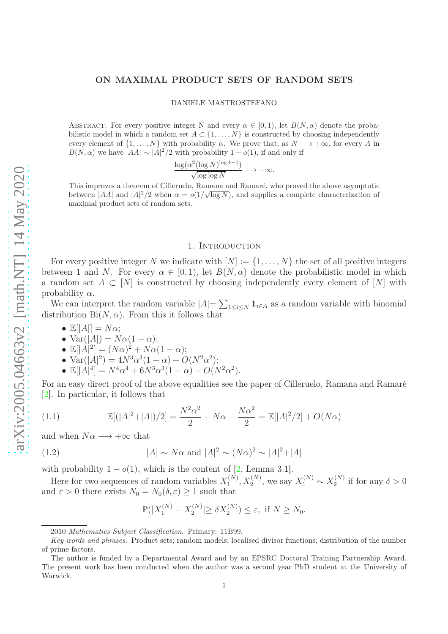# ON MAXIMAL PRODUCT SETS OF RANDOM SETS

DANIELE MASTROSTEFANO

ABSTRACT. For every positive integer N and every  $\alpha \in [0,1)$ , let  $B(N,\alpha)$  denote the probabilistic model in which a random set  $A \subset \{1, \ldots, N\}$  is constructed by choosing independently every element of  $\{1, \ldots, N\}$  with probability  $\alpha$ . We prove that, as  $N \longrightarrow +\infty$ , for every A in  $B(N, \alpha)$  we have  $|AA| \sim |A|^2/2$  with probability  $1 - o(1)$ , if and only if

$$
\frac{\log(\alpha^2(\log N)^{\log 4-1})}{\sqrt{\log\log N}} \longrightarrow -\infty.
$$

This improves a theorem of Cilleruelo, Ramana and Ramaré, who proved the above asymptotic between  $|AA|$  and  $|A|^2/2$  when  $\alpha = o(1/\sqrt{\log N})$ , and supplies a complete characterization of maximal product sets of random sets.

### 1. INTRODUCTION

For every positive integer N we indicate with  $[N] := \{1, \ldots, N\}$  the set of all positive integers between 1 and N. For every  $\alpha \in [0,1)$ , let  $B(N,\alpha)$  denote the probabilistic model in which a random set  $A \subset [N]$  is constructed by choosing independently every element of  $[N]$  with probability  $\alpha$ .

We can interpret the random variable  $|A| = \sum_{1 \leq i \leq N} 1_{i \in A}$  as a random variable with binomial distribution  $Bi(N, \alpha)$ . From this it follows that

- $\mathbb{E}[|A|] = N\alpha;$
- $Var(|A|) = N\alpha(1-\alpha);$
- $\mathbb{E}[|A|^2] = (N\alpha)^2 + N\alpha(1-\alpha);$
- $Var(|A|^2) = 4N^3\alpha^3(1-\alpha) + O(N^2\alpha^2);$
- $\mathbb{E}[|A|^4] = N^4 \alpha^4 + 6N^3 \alpha^3 (1 \alpha) + O(N^2 \alpha^2).$

For an easy direct proof of the above equalities see the paper of Cilleruelo, Ramana and Ramaré [\[2\]](#page-19-0). In particular, it follows that

<span id="page-0-1"></span>(1.1) 
$$
\mathbb{E}[(|A|^2 + |A|)/2] = \frac{N^2\alpha^2}{2} + N\alpha - \frac{N\alpha^2}{2} = \mathbb{E}[|A|^2/2] + O(N\alpha)
$$

and when  $N\alpha \longrightarrow +\infty$  that

(1.2) 
$$
|A| \sim N\alpha
$$
 and  $|A|^2 \sim (N\alpha)^2 \sim |A|^2 + |A|$ 

with probability  $1 - o(1)$ , which is the content of  $[2, \text{ Lemma 3.1}].$ 

Here for two sequences of random variables  $X_1^{(N)}$  $X_1^{(N)}, X_2^{(N)}$ , we say  $X_1^{(N)} \sim X_2^{(N)}$  $i_2^{(N)}$  if for any  $\delta > 0$ and  $\varepsilon > 0$  there exists  $N_0 = N_0(\delta, \varepsilon) > 1$  such that

<span id="page-0-0"></span>
$$
\mathbb{P}(|X_1^{(N)} - X_2^{(N)}| \ge \delta X_2^{(N)}) \le \varepsilon, \text{ if } N \ge N_0.
$$

<sup>2010</sup> *Mathematics Subject Classification.* Primary: 11B99.

*Key words and phrases.* Product sets; random models; localised divisor functions; distribution of the number of prime factors.

The author is funded by a Departmental Award and by an EPSRC Doctoral Training Partnership Award. The present work has been conducted when the author was a second year PhD student at the University of Warwick.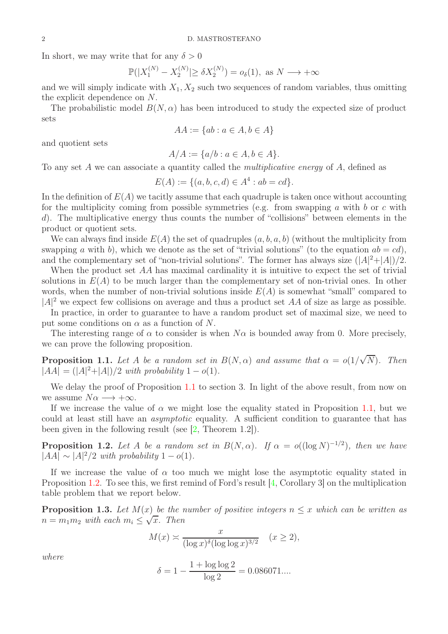In short, we may write that for any  $\delta > 0$ 

$$
\mathbb{P}(|X_1^{(N)} - X_2^{(N)}| \ge \delta X_2^{(N)}) = o_{\delta}(1), \text{ as } N \longrightarrow +\infty
$$

and we will simply indicate with  $X_1, X_2$  such two sequences of random variables, thus omitting the explicit dependence on N.

The probabilistic model  $B(N, \alpha)$  has been introduced to study the expected size of product sets

$$
AA := \{ ab : a \in A, b \in A \}
$$

and quotient sets

$$
A/A := \{a/b : a \in A, b \in A\}.
$$

To any set A we can associate a quantity called the *multiplicative energy* of A, defined as

$$
E(A) := \{(a, b, c, d) \in A^4 : ab = cd\}.
$$

In the definition of  $E(A)$  we tacitly assume that each quadruple is taken once without accounting for the multiplicity coming from possible symmetries (e.g. from swapping a with b or c with d). The multiplicative energy thus counts the number of "collisions" between elements in the product or quotient sets.

We can always find inside  $E(A)$  the set of quadruples  $(a, b, a, b)$  (without the multiplicity from swapping a with b), which we denote as the set of "trivial solutions" (to the equation  $ab = cd$ ), and the complementary set of "non-trivial solutions". The former has always size  $(|A|^2+|A|)/2$ .

When the product set AA has maximal cardinality it is intuitive to expect the set of trivial solutions in  $E(A)$  to be much larger than the complementary set of non-trivial ones. In other words, when the number of non-trivial solutions inside  $E(A)$  is somewhat "small" compared to  $|A|^2$  we expect few collisions on average and thus a product set AA of size as large as possible.

In practice, in order to guarantee to have a random product set of maximal size, we need to put some conditions on  $\alpha$  as a function of N.

The interesting range of  $\alpha$  to consider is when  $N\alpha$  is bounded away from 0. More precisely, we can prove the following proposition.

<span id="page-1-0"></span>**Proposition 1.1.** Let A be a random set in  $B(N, \alpha)$  and assume that  $\alpha = o(1/\sqrt{N})$ . Then  $|AA| = (|A|^2 + |A|)/2$  with probability  $1 - o(1)$ .

We delay the proof of Proposition [1.1](#page-1-0) to section 3. In light of the above result, from now on we assume  $N\alpha \longrightarrow +\infty$ .

If we increase the value of  $\alpha$  we might lose the equality stated in Proposition [1.1,](#page-1-0) but we could at least still have an *asymptotic* equality. A sufficient condition to guarantee that has been given in the following result (see [\[2,](#page-19-0) Theorem 1.2]).

<span id="page-1-1"></span>**Proposition 1.2.** Let A be a random set in  $B(N, \alpha)$ . If  $\alpha = o((\log N)^{-1/2})$ , then we have  $|AA| \sim |A|^2/2$  with probability  $1 - o(1)$ .

If we increase the value of  $\alpha$  too much we might lose the asymptotic equality stated in Proposition [1.2.](#page-1-1) To see this, we first remind of Ford's result [\[4,](#page-19-1) Corollary 3] on the multiplication table problem that we report below.

<span id="page-1-2"></span>**Proposition 1.3.** Let  $M(x)$  be the number of positive integers  $n \leq x$  which can be written as  $n = m_1 m_2$  with each  $m_i \leq \sqrt{x}$ . Then

$$
M(x) \approx \frac{x}{(\log x)^{\delta} (\log \log x)^{3/2}} \quad (x \ge 2),
$$

where

$$
\delta = 1 - \frac{1 + \log \log 2}{\log 2} = 0.086071...
$$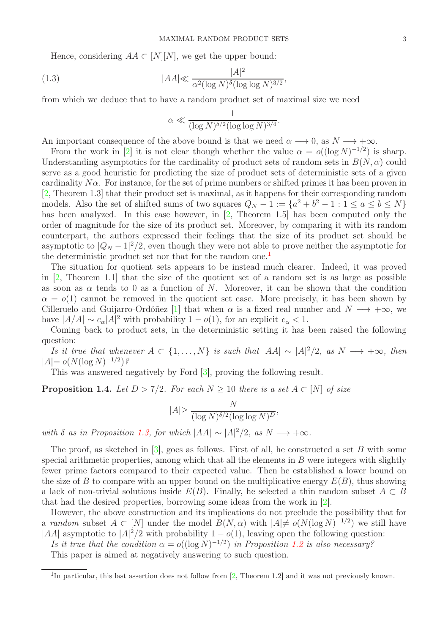Hence, considering  $AA \subset [N][N]$ , we get the upper bound:

(1.3) 
$$
|AA| \ll \frac{|A|^2}{\alpha^2 (\log N)^{\delta} (\log \log N)^{3/2}},
$$

from which we deduce that to have a random product set of maximal size we need

<span id="page-2-1"></span>
$$
\alpha \ll \frac{1}{(\log N)^{\delta/2} (\log \log N)^{3/4}}.
$$

An important consequence of the above bound is that we need  $\alpha \longrightarrow 0$ , as  $N \longrightarrow +\infty$ .

From the work in [\[2\]](#page-19-0) it is not clear though whether the value  $\alpha = o((\log N)^{-1/2})$  is sharp. Understanding asymptotics for the cardinality of product sets of random sets in  $B(N, \alpha)$  could serve as a good heuristic for predicting the size of product sets of deterministic sets of a given cardinality  $N\alpha$ . For instance, for the set of prime numbers or shifted primes it has been proven in [\[2,](#page-19-0) Theorem 1.3] that their product set is maximal, as it happens for their corresponding random models. Also the set of shifted sums of two squares  $Q_N - 1 := \{a^2 + b^2 - 1 : 1 \le a \le b \le N\}$ has been analyzed. In this case however, in [\[2,](#page-19-0) Theorem 1.5] has been computed only the order of magnitude for the size of its product set. Moreover, by comparing it with its random counterpart, the authors expressed their feelings that the size of its product set should be asymptotic to  $|Q_N - 1|^2/2$ , even though they were not able to prove neither the asymptotic for the deterministic product set nor that for the random one.<sup>[1](#page-2-0)</sup>

The situation for quotient sets appears to be instead much clearer. Indeed, it was proved in  $[2,$  Theorem 1.1 that the size of the quotient set of a random set is as large as possible as soon as  $\alpha$  tends to 0 as a function of N. Moreover, it can be shown that the condition  $\alpha = o(1)$  cannot be removed in the quotient set case. More precisely, it has been shown by Cilleruelo and Guijarro-Ordóñez [\[1\]](#page-19-2) that when  $\alpha$  is a fixed real number and  $N \longrightarrow +\infty$ , we have  $|A/A| \sim c_{\alpha} |A|^2$  with probability  $1 - o(1)$ , for an explicit  $c_{\alpha} < 1$ .

Coming back to product sets, in the deterministic setting it has been raised the following question:

Is it true that whenever  $A \subset \{1, ..., N\}$  is such that  $|AA| \sim |A|^2/2$ , as  $N \longrightarrow +\infty$ , then  $|A| = o(N(\log N)^{-1/2})$ ?

This was answered negatively by Ford [\[3\]](#page-19-3), proving the following result.

**Proposition 1.4.** Let  $D > 7/2$ . For each  $N \ge 10$  there is a set  $A \subset [N]$  of size

$$
|A| \ge \frac{N}{(\log N)^{\delta/2} (\log \log N)^D},
$$

with  $\delta$  as in Proposition [1.3,](#page-1-2) for which  $|AA| \sim |A|^2/2$ , as  $N \longrightarrow +\infty$ .

The proof, as sketched in  $[3]$ , goes as follows. First of all, he constructed a set B with some special arithmetic properties, among which that all the elements in  $B$  were integers with slightly fewer prime factors compared to their expected value. Then he established a lower bound on the size of B to compare with an upper bound on the multiplicative energy  $E(B)$ , thus showing a lack of non-trivial solutions inside  $E(B)$ . Finally, he selected a thin random subset  $A \subset B$ that had the desired properties, borrowing some ideas from the work in [\[2\]](#page-19-0).

However, the above construction and its implications do not preclude the possibility that for a random subset  $A \subset [N]$  under the model  $B(N, \alpha)$  with  $|A| \neq o(N(\log N)^{-1/2})$  we still have |AA| asymptotic to  $|A|^2/2$  with probability  $1-o(1)$ , leaving open the following question:

Is it true that the condition  $\alpha = o((\log N)^{-1/2})$  in Proposition [1.2](#page-1-1) is also necessary?

This paper is aimed at negatively answering to such question.

<span id="page-2-0"></span> $\overline{^{1}}$ In particular, this last assertion does not follow from [\[2,](#page-19-0) Theorem 1.2] and it was not previously known.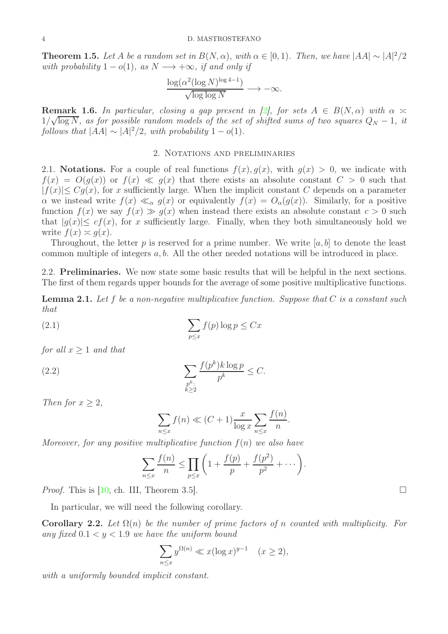<span id="page-3-1"></span>**Theorem 1.5.** Let A be a random set in  $B(N, \alpha)$ , with  $\alpha \in [0, 1)$ . Then, we have  $|AA| \sim |A|^2/2$ with probability  $1 - o(1)$ , as  $N \longrightarrow +\infty$ , if and only if

$$
\frac{\log(\alpha^2 (\log N)^{\log 4 - 1})}{\sqrt{\log \log N}} \longrightarrow -\infty.
$$

**Remark 1.6.** In particular, closing a gap present in [\[2\]](#page-19-0), for sets  $A \in B(N, \alpha)$  with  $\alpha \geq$  $\frac{1}{\sqrt{\log N}}$ , as for possible random models of the set of shifted sums of two squares  $Q_N - 1$ , it follows that  $|AA| \sim |A|^2/2$ , with probability  $1 - o(1)$ .

# 2. NOTATIONS AND PRELIMINARIES

2.1. Notations. For a couple of real functions  $f(x)$ ,  $g(x)$ , with  $g(x) > 0$ , we indicate with  $f(x) = O(g(x))$  or  $f(x) \ll g(x)$  that there exists an absolute constant  $C > 0$  such that  $|f(x)| \leq Cg(x)$ , for x sufficiently large. When the implicit constant C depends on a parameter  $\alpha$  we instead write  $f(x) \ll_{\alpha} g(x)$  or equivalently  $f(x) = O_{\alpha}(g(x))$ . Similarly, for a positive function  $f(x)$  we say  $f(x) \gg g(x)$  when instead there exists an absolute constant  $c > 0$  such that  $|g(x)| \leq cf(x)$ , for x sufficiently large. Finally, when they both simultaneously hold we write  $f(x) \asymp g(x)$ .

Throughout, the letter p is reserved for a prime number. We write  $[a, b]$  to denote the least common multiple of integers a, b. All the other needed notations will be introduced in place.

2.2. Preliminaries. We now state some basic results that will be helpful in the next sections. The first of them regards upper bounds for the average of some positive multiplicative functions.

<span id="page-3-0"></span>**Lemma 2.1.** Let f be a non-negative multiplicative function. Suppose that  $C$  is a constant such that

(2.1) 
$$
\sum_{p \le x} f(p) \log p \le Cx
$$

for all  $x \geq 1$  and that

(2.2) 
$$
\sum_{\substack{p^k:\\k\geq 2}} \frac{f(p^k)k \log p}{p^k} \leq C.
$$

Then for  $x \geq 2$ ,

<span id="page-3-3"></span><span id="page-3-2"></span>
$$
\sum_{n \le x} f(n) \ll (C+1) \frac{x}{\log x} \sum_{n \le x} \frac{f(n)}{n}
$$

.

Moreover, for any positive multiplicative function  $f(n)$  we also have

$$
\sum_{n\leq x}\frac{f(n)}{n}\leq \prod_{p\leq x}\bigg(1+\frac{f(p)}{p}+\frac{f(p^2)}{p^2}+\cdots\bigg).
$$

*Proof.* This is  $\left[10, \text{ch. III}, \text{Theorem 3.5}\right]$ .

In particular, we will need the following corollary.

<span id="page-3-4"></span>Corollary 2.2. Let  $\Omega(n)$  be the number of prime factors of n counted with multiplicity. For any fixed  $0.1 < y < 1.9$  we have the uniform bound

$$
\sum_{n \le x} y^{\Omega(n)} \ll x(\log x)^{y-1} \quad (x \ge 2),
$$

with a uniformly bounded implicit constant.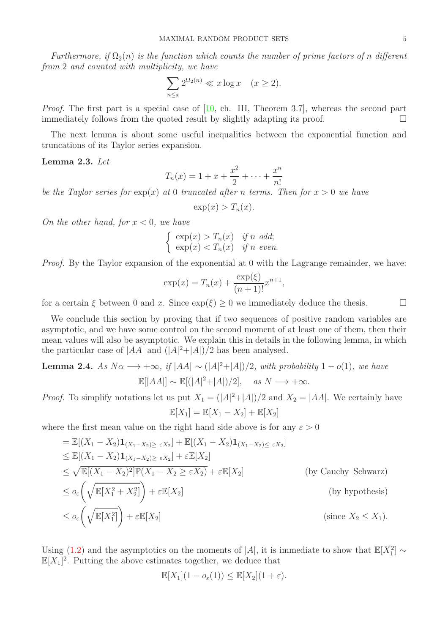Furthermore, if  $\Omega_2(n)$  is the function which counts the number of prime factors of n different from 2 and counted with multiplicity, we have

$$
\sum_{n \le x} 2^{\Omega_2(n)} \ll x \log x \quad (x \ge 2).
$$

*Proof.* The first part is a special case of  $[10, ch. III, Theorem 3.7]$ , whereas the second part immediately follows from the quoted result by slightly adapting its proof.  $\Box$ 

The next lemma is about some useful inequalities between the exponential function and truncations of its Taylor series expansion.

## <span id="page-4-1"></span>Lemma 2.3. Let

$$
T_n(x) = 1 + x + \frac{x^2}{2} + \dots + \frac{x^n}{n!}
$$

be the Taylor series for  $exp(x)$  at 0 truncated after n terms. Then for  $x > 0$  we have

$$
\exp(x) > T_n(x).
$$

On the other hand, for  $x < 0$ , we have

$$
\begin{cases} \exp(x) > T_n(x) & \text{if } n \text{ odd}; \\ \exp(x) < T_n(x) & \text{if } n \text{ even}. \end{cases}
$$

Proof. By the Taylor expansion of the exponential at 0 with the Lagrange remainder, we have:

$$
\exp(x) = T_n(x) + \frac{\exp(\xi)}{(n+1)!}x^{n+1},
$$

for a certain  $\xi$  between 0 and x. Since  $\exp(\xi) \ge 0$  we immediately deduce the thesis.

We conclude this section by proving that if two sequences of positive random variables are asymptotic, and we have some control on the second moment of at least one of them, then their mean values will also be asymptotic. We explain this in details in the following lemma, in which the particular case of  $|AA|$  and  $(|A|^2+|A|)/2$  has been analysed.

<span id="page-4-0"></span>**Lemma 2.4.** As 
$$
N\alpha \longrightarrow +\infty
$$
, if  $|AA| \sim (|A|^2 + |A|)/2$ , with probability  $1 - o(1)$ , we have  $\mathbb{E}[|AA|] \sim \mathbb{E}[(|A|^2 + |A|)/2]$ , as  $N \longrightarrow +\infty$ .

*Proof.* To simplify notations let us put  $X_1 = (|A|^2 + |A|)/2$  and  $X_2 = |AA|$ . We certainly have  $\mathbb{E}[X_1] = \mathbb{E}[X_1 - X_2] + \mathbb{E}[X_2]$ 

where the first mean value on the right hand side above is for any  $\varepsilon > 0$ 

$$
\begin{aligned}\n&= \mathbb{E}[(X_1 - X_2)\mathbf{1}_{(X_1 - X_2)\geq \varepsilon X_2}] + \mathbb{E}[(X_1 - X_2)\mathbf{1}_{(X_1 - X_2)\leq \varepsilon X_2}] \\
&\le \mathbb{E}[(X_1 - X_2)\mathbf{1}_{(X_1 - X_2)\geq \varepsilon X_2}] + \varepsilon \mathbb{E}[X_2] \\
&\le \sqrt{\mathbb{E}[(X_1 - X_2)^2]\mathbb{P}(X_1 - X_2 \geq \varepsilon X_2)} + \varepsilon \mathbb{E}[X_2] \quad \text{(by Cauchy-Schwarz)} \\
&\le o_{\varepsilon} \left(\sqrt{\mathbb{E}[X_1^2 + X_2^2]}\right) + \varepsilon \mathbb{E}[X_2] \quad \text{(by hypothesis)} \\
&\le o_{\varepsilon} \left(\sqrt{\mathbb{E}[X_1^2]}\right) + \varepsilon \mathbb{E}[X_2] \quad \text{(since } X_2 \leq X_1).\n\end{aligned}
$$

Using [\(1.2\)](#page-0-0) and the asymptotics on the moments of |A|, it is immediate to show that  $\mathbb{E}[X_1^2] \sim$  $\mathbb{E}[X_1]^2$ . Putting the above estimates together, we deduce that

$$
\mathbb{E}[X_1](1 - o_{\varepsilon}(1)) \le \mathbb{E}[X_2](1 + \varepsilon).
$$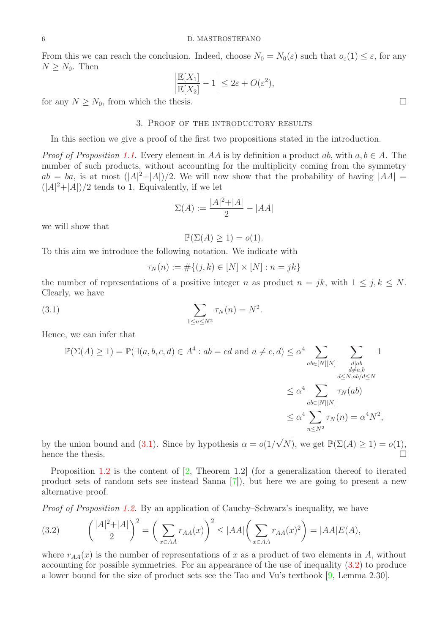From this we can reach the conclusion. Indeed, choose  $N_0 = N_0(\varepsilon)$  such that  $o_{\varepsilon}(1) \leq \varepsilon$ , for any  $N \geq N_0$ . Then

$$
\left|\frac{\mathbb{E}[X_1]}{\mathbb{E}[X_2]} - 1\right| \le 2\varepsilon + O(\varepsilon^2),
$$

for any  $N \ge N_0$ , from which the thesis.

# 3. Proof of the introductory results

In this section we give a proof of the first two propositions stated in the introduction.

*Proof of Proposition [1.1.](#page-1-0)* Every element in AA is by definition a product ab, with  $a, b \in A$ . The number of such products, without accounting for the multiplicity coming from the symmetry  $ab = ba$ , is at most  $(|A|^2 + |A|)/2$ . We will now show that the probability of having  $|AA| =$  $(|A|^2+|A|)/2$  tends to 1. Equivalently, if we let

$$
\Sigma(A) := \frac{|A|^2 + |A|}{2} - |AA|
$$

we will show that

$$
\mathbb{P}(\Sigma(A) \ge 1) = o(1).
$$

To this aim we introduce the following notation. We indicate with

<span id="page-5-0"></span>
$$
\tau_N(n) := \#\{(j,k) \in [N] \times [N] : n = jk\}
$$

the number of representations of a positive integer n as product  $n = jk$ , with  $1 \leq j, k \leq N$ . Clearly, we have

(3.1) 
$$
\sum_{1 \le n \le N^2} \tau_N(n) = N^2.
$$

Hence, we can infer that

$$
\mathbb{P}(\Sigma(A) \ge 1) = \mathbb{P}(\exists (a, b, c, d) \in A^4 : ab = cd \text{ and } a \ne c, d) \le \alpha^4 \sum_{\substack{ab \in [N][N] \\ d \ne a, b \\ ab \in [N][N]}} \sum_{\substack{d | ab \\ d \le N, ab/d \le N \\ a \le N, ab/d \le N}} 1
$$
  

$$
\le \alpha^4 \sum_{n \le N^2} \tau_N(ab)
$$
  

$$
\le \alpha^4 \sum_{n \le N^2} \tau_N(n) = \alpha^4 N^2,
$$

by the union bound and [\(3.1\)](#page-5-0). Since by hypothesis  $\alpha = o(1/\sqrt{N})$ , we get  $\mathbb{P}(\Sigma(A) \ge 1) = o(1)$ , hence the thesis.

Proposition [1.2](#page-1-1) is the content of  $[2,$  Theorem 1.2 (for a generalization thereof to iterated product sets of random sets see instead Sanna [\[7\]](#page-19-5)), but here we are going to present a new alternative proof.

Proof of Proposition [1.2.](#page-1-1) By an application of Cauchy–Schwarz's inequality, we have

<span id="page-5-1"></span>(3.2) 
$$
\left(\frac{|A|^2 + |A|}{2}\right)^2 = \left(\sum_{x \in AA} r_{AA}(x)\right)^2 \le |AA| \left(\sum_{x \in AA} r_{AA}(x)^2\right) = |AA|E(A),
$$

where  $r_{AA}(x)$  is the number of representations of x as a product of two elements in A, without accounting for possible symmetries. For an appearance of the use of inequality [\(3.2\)](#page-5-1) to produce a lower bound for the size of product sets see the Tao and Vu's textbook [\[9,](#page-19-6) Lemma 2.30].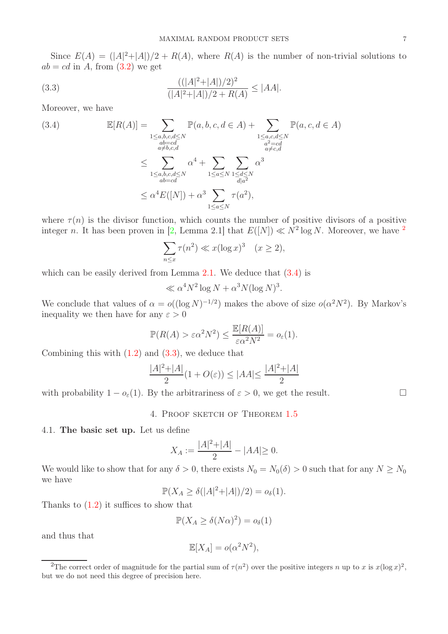Since  $E(A) = (|A|^2 + |A|)/2 + R(A)$ , where  $R(A)$  is the number of non-trivial solutions to  $ab = cd$  in A, from  $(3.2)$  we get

<span id="page-6-2"></span>(3.3) 
$$
\frac{((|A|^2 + |A|)/2)^2}{(|A|^2 + |A|)/2 + R(A)} \le |AA|.
$$

Moreover, we have

<span id="page-6-1"></span>
$$
(3.4) \quad \mathbb{E}[R(A)] = \sum_{\substack{1 \le a,b,c,d \le N \\ ab = cd \\ a \ne b,c,d}} \mathbb{P}(a,b,c,d \in A) + \sum_{\substack{1 \le a,c,d \le N \\ a^2 = cd \\ a \ne c,d}} \mathbb{P}(a,c,d \in A)
$$
\n
$$
\le \sum_{\substack{1 \le a,b,c,d \le N \\ ab = cd}} \alpha^4 + \sum_{1 \le a \le N} \sum_{\substack{1 \le d \le N \\ d \mid a^2}} \alpha^3
$$
\n
$$
\le \alpha^4 E([N]) + \alpha^3 \sum_{1 \le a \le N} \tau(a^2),
$$

where  $\tau(n)$  is the divisor function, which counts the number of positive divisors of a positive integer *n*. It has been proven in [\[2,](#page-19-0) Lemma [2](#page-6-0).1] that  $E([N]) \ll N^2 \log N$ . Moreover, we have <sup>2</sup>

$$
\sum_{n \le x} \tau(n^2) \ll x(\log x)^3 \quad (x \ge 2),
$$

which can be easily derived from Lemma [2.1.](#page-3-0) We deduce that  $(3.4)$  is

$$
\ll \alpha^4 N^2 \log N + \alpha^3 N (\log N)^3.
$$

We conclude that values of  $\alpha = o((\log N)^{-1/2})$  makes the above of size  $o(\alpha^2 N^2)$ . By Markov's inequality we then have for any  $\varepsilon > 0$ 

$$
\mathbb{P}(R(A) > \varepsilon \alpha^2 N^2) \le \frac{\mathbb{E}[R(A)]}{\varepsilon \alpha^2 N^2} = o_{\varepsilon}(1).
$$

Combining this with  $(1.2)$  and  $(3.3)$ , we deduce that

$$
\frac{|A|^2 + |A|}{2}(1 + O(\varepsilon)) \le |AA| \le \frac{|A|^2 + |A|}{2}
$$

with probability  $1 - o_{\varepsilon}(1)$ . By the arbitrariness of  $\varepsilon > 0$ , we get the result.

4. Proof sketch of Theorem [1.5](#page-3-1)

4.1. The basic set up. Let us define

$$
X_A := \frac{|A|^2 + |A|}{2} - |AA| \ge 0.
$$

We would like to show that for any  $\delta > 0$ , there exists  $N_0 = N_0(\delta) > 0$  such that for any  $N \ge N_0$ we have

$$
\mathbb{P}(X_A \ge \delta(|A|^2 + |A|)/2) = o_{\delta}(1).
$$

Thanks to  $(1.2)$  it suffices to show that

$$
\mathbb{P}(X_A \ge \delta(N\alpha)^2) = o_{\delta}(1)
$$

and thus that

$$
\mathbb{E}[X_A] = o(\alpha^2 N^2),
$$

<span id="page-6-0"></span><sup>&</sup>lt;sup>2</sup>The correct order of magnitude for the partial sum of  $\tau(n^2)$  over the positive integers n up to x is  $x(\log x)^2$ , but we do not need this degree of precision here.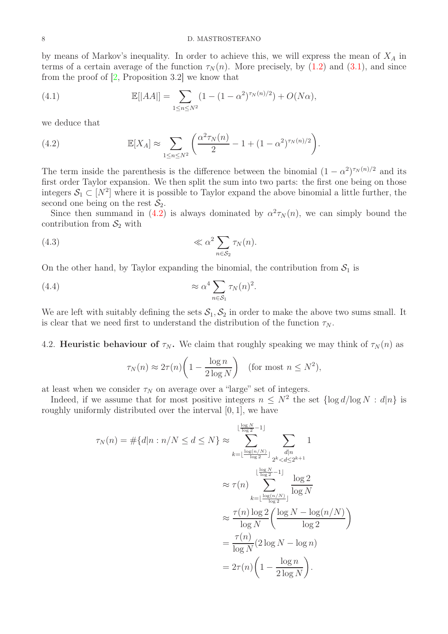## 8 D. MASTROSTEFANO

by means of Markov's inequality. In order to achieve this, we will express the mean of  $X_A$  in terms of a certain average of the function  $\tau_N(n)$ . More precisely, by [\(1.2\)](#page-0-0) and [\(3.1\)](#page-5-0), and since from the proof of  $[2,$  Proposition 3.2 we know that

(4.1) 
$$
\mathbb{E}[|AA|] = \sum_{1 \le n \le N^2} (1 - (1 - \alpha^2)^{\tau_N(n)/2}) + O(N\alpha),
$$

we deduce that

<span id="page-7-0"></span>(4.2) 
$$
\mathbb{E}[X_A] \approx \sum_{1 \le n \le N^2} \left( \frac{\alpha^2 \tau_N(n)}{2} - 1 + (1 - \alpha^2)^{\tau_N(n)/2} \right).
$$

The term inside the parenthesis is the difference between the binomial  $(1 - \alpha^2)^{\tau_N(n)/2}$  and its first order Taylor expansion. We then split the sum into two parts: the first one being on those integers  $S_1 \subset [N^2]$  where it is possible to Taylor expand the above binomial a little further, the second one being on the rest  $\mathcal{S}_2$ .

Since then summand in [\(4.2\)](#page-7-0) is always dominated by  $\alpha^2 \tau_N(n)$ , we can simply bound the contribution from  $S_2$  with

(4.3) 
$$
\ll \alpha^2 \sum_{n \in S_2} \tau_N(n).
$$

On the other hand, by Taylor expanding the binomial, the contribution from  $S_1$  is

<span id="page-7-2"></span>(4.4) 
$$
\approx \alpha^4 \sum_{n \in S_1} \tau_N(n)^2.
$$

We are left with suitably defining the sets  $S_1, S_2$  in order to make the above two sums small. It is clear that we need first to understand the distribution of the function  $\tau_N$ .

4.2. **Heuristic behaviour of**  $\tau_N$ **.** We claim that roughly speaking we may think of  $\tau_N(n)$  as

<span id="page-7-1"></span>
$$
\tau_N(n) \approx 2\tau(n) \left(1 - \frac{\log n}{2 \log N}\right)
$$
 (for most  $n \le N^2$ ),

at least when we consider  $\tau_N$  on average over a "large" set of integers.

Indeed, if we assume that for most positive integers  $n \leq N^2$  the set  $\{\log d / \log N : d | n\}$  is roughly uniformly distributed over the interval [0, 1], we have

$$
\tau_N(n) = \#\{d|n : n/N \le d \le N\} \approx \sum_{k=\lfloor \frac{\log(N)}{\log 2} \rfloor}^{\lfloor \frac{\log N}{\log 2} - 1 \rfloor} \sum_{\substack{d|n \ge k-1 \\ \lfloor \frac{\log N}{\log 2} - 1 \rfloor \\ k \equiv \lfloor \frac{\log N}{\log 2} \rfloor}} \frac{1}{\log 2}
$$

$$
\approx \tau(n) \sum_{k=\lfloor \frac{\log(n/N)}{\log 2} \rfloor}^{\lfloor \frac{\log N}{\log 2} - 1 \rfloor} \frac{\log 2}{\log N}
$$

$$
\approx \frac{\tau(n) \log 2}{\log N} \left( \frac{\log N - \log(n/N)}{\log 2} \right)
$$

$$
= \frac{\tau(n)}{\log N} (2 \log N - \log n)
$$

$$
= 2\tau(n) \left( 1 - \frac{\log n}{2 \log N} \right).
$$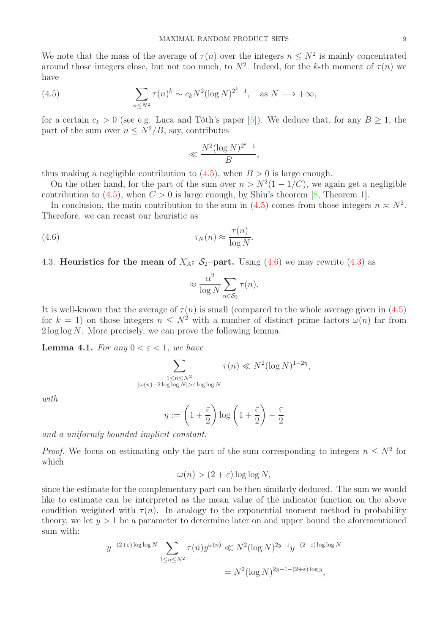We note that the mass of the average of  $\tau(n)$  over the integers  $n \leq N^2$  is mainly concentrated around those integers close, but not too much, to  $N^2$ . Indeed, for the k-th moment of  $\tau(n)$  we have

(4.5) 
$$
\sum_{n \leq N^2} \tau(n)^k \sim c_k N^2 (\log N)^{2^k - 1}, \text{ as } N \longrightarrow +\infty,
$$

for a certain  $c_k > 0$  (see e.g. Luca and Tóth's paper [\[5\]](#page-19-7)). We deduce that, for any  $B \ge 1$ , the part of the sum over  $n \leq N^2/B$ , say, contributes

<span id="page-8-0"></span>
$$
\ll \frac{N^2 (\log N)^{2^k - 1}}{B},
$$

thus making a negligible contribution to  $(4.5)$ , when  $B > 0$  is large enough.

On the other hand, for the part of the sum over  $n > N^2(1-1/C)$ , we again get a negligible contribution to  $(4.5)$ , when  $C > 0$  is large enough, by Shiu's theorem [\[8,](#page-19-8) Theorem 1].

In conclusion, the main contribution to the sum in [\(4.5\)](#page-8-0) comes from those integers  $n \geq N^2$ . Therefore, we can recast our heuristic as

(4.6) 
$$
\tau_N(n) \approx \frac{\tau(n)}{\log N}.
$$

# 4.3. Heuristics for the mean of  $X_A$ :  $S_2$ -part. Using [\(4.6\)](#page-8-1) we may rewrite [\(4.3\)](#page-7-1) as

<span id="page-8-1"></span>
$$
\approx \frac{\alpha^2}{\log N} \sum_{n \in \mathcal{S}_2} \tau(n).
$$

It is well-known that the average of  $\tau(n)$  is small (compared to the whole average given in [\(4.5\)](#page-8-0) for  $k = 1$ ) on those integers  $n \leq N^2$  with a number of distinct prime factors  $\omega(n)$  far from 2 log log N. More precisely, we can prove the following lemma.

<span id="page-8-2"></span>**Lemma 4.1.** For any  $0 < \varepsilon < 1$ , we have

$$
\sum_{\substack{1 \le n \le N^2 \\ |\omega(n) - 2\log\log N| > \varepsilon \log \log N}} \tau(n) \ll N^2 (\log N)^{1 - 2\eta},
$$

with

$$
\eta := \left(1 + \frac{\varepsilon}{2}\right) \log \left(1 + \frac{\varepsilon}{2}\right) - \frac{\varepsilon}{2}
$$

and a uniformly bounded implicit constant.

*Proof.* We focus on estimating only the part of the sum corresponding to integers  $n \leq N^2$  for which

$$
\omega(n) > (2 + \varepsilon) \log \log N,
$$

since the estimate for the complementary part can be then similarly deduced. The sum we would like to estimate can be interpreted as the mean value of the indicator function on the above condition weighted with  $\tau(n)$ . In analogy to the exponential moment method in probability theory, we let  $y > 1$  be a parameter to determine later on and upper bound the aforementioned sum with:

$$
y^{-(2+\varepsilon)\log\log N} \sum_{1 \le n \le N^2} \tau(n) y^{\omega(n)} \ll N^2 (\log N)^{2y-1} y^{-(2+\varepsilon)\log\log N}
$$
  
= 
$$
N^2 (\log N)^{2y-1-(2+\varepsilon)\log y},
$$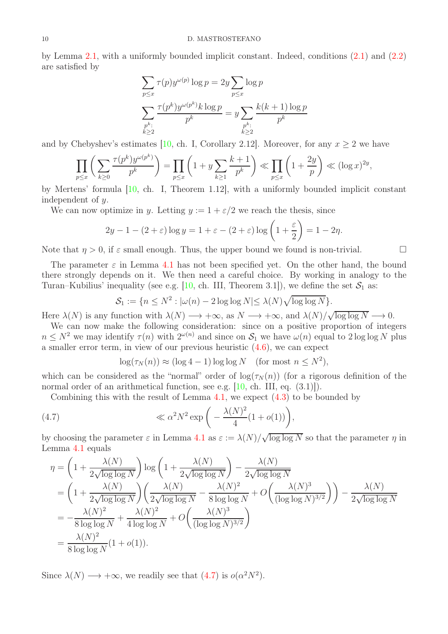by Lemma [2.1,](#page-3-0) with a uniformly bounded implicit constant. Indeed, conditions [\(2.1\)](#page-3-2) and [\(2.2\)](#page-3-3) are satisfied by

$$
\sum_{p \le x} \tau(p) y^{\omega(p)} \log p = 2y \sum_{p \le x} \log p
$$

$$
\sum_{\substack{p^k:\\k \ge 2}} \frac{\tau(p^k) y^{\omega(p^k)} k \log p}{p^k} = y \sum_{\substack{p^k:\\k \ge 2}} \frac{k(k+1) \log p}{p^k}
$$

and by Chebyshev's estimates [\[10,](#page-19-4) ch. I, Corollary 2.12]. Moreover, for any  $x \geq 2$  we have

$$
\prod_{p\leq x}\left(\sum_{k\geq 0}\frac{\tau(p^k)y^{\omega(p^k)}}{p^k}\right)=\prod_{p\leq x}\left(1+y\sum_{k\geq 1}\frac{k+1}{p^k}\right)\ll \prod_{p\leq x}\left(1+\frac{2y}{p}\right)\ll (\log x)^{2y},
$$

by Mertens' formula [\[10,](#page-19-4) ch. I, Theorem 1.12], with a uniformly bounded implicit constant independent of y.

We can now optimize in y. Letting  $y := 1 + \varepsilon/2$  we reach the thesis, since

$$
2y - 1 - (2 + \varepsilon) \log y = 1 + \varepsilon - (2 + \varepsilon) \log \left( 1 + \frac{\varepsilon}{2} \right) = 1 - 2\eta.
$$

Note that  $\eta > 0$ , if  $\varepsilon$  small enough. Thus, the upper bound we found is non-trivial.

The parameter  $\varepsilon$  in Lemma [4.1](#page-8-2) has not been specified yet. On the other hand, the bound there strongly depends on it. We then need a careful choice. By working in analogy to the Turan–Kubilius' inequality (see e.g. [\[10,](#page-19-4) ch. III, Theorem 3.1]), we define the set  $S_1$  as:

$$
\mathcal{S}_1 := \{ n \le N^2 : |\omega(n) - 2 \log \log N| \le \lambda(N) \sqrt{\log \log N} \}.
$$

Here  $\lambda(N)$  is any function with  $\lambda(N) \longrightarrow +\infty$ , as  $N \longrightarrow +\infty$ , and  $\lambda(N)/\sqrt{\log \log N} \longrightarrow 0$ .

We can now make the following consideration: since on a positive proportion of integers  $n \leq N^2$  we may identify  $\tau(n)$  with  $2^{\omega(n)}$  and since on  $S_1$  we have  $\omega(n)$  equal to  $2 \log \log N$  plus a smaller error term, in view of our previous heuristic [\(4.6\)](#page-8-1), we can expect

<span id="page-9-0"></span>
$$
\log(\tau_N(n)) \approx (\log 4 - 1) \log \log N \quad \text{(for most } n \le N^2\text{)},
$$

which can be considered as the "normal" order of  $log(\tau_N(n))$  (for a rigorous definition of the normal order of an arithmetical function, see e.g.  $[10, ch. III, eq. (3.1)]$ .

Combining this with the result of Lemma [4.1,](#page-8-2) we expect [\(4.3\)](#page-7-1) to be bounded by

(4.7) 
$$
\ll \alpha^2 N^2 \exp\bigg(-\frac{\lambda(N)^2}{4}(1+o(1))\bigg),
$$

by choosing the parameter  $\varepsilon$  in Lemma [4.1](#page-8-2) as  $\varepsilon := \lambda(N)/\sqrt{\log \log N}$  so that the parameter  $\eta$  in Lemma [4.1](#page-8-2) equals

$$
\eta = \left(1 + \frac{\lambda(N)}{2\sqrt{\log\log N}}\right) \log\left(1 + \frac{\lambda(N)}{2\sqrt{\log\log N}}\right) - \frac{\lambda(N)}{2\sqrt{\log\log N}}
$$
  
= 
$$
\left(1 + \frac{\lambda(N)}{2\sqrt{\log\log N}}\right) \left(\frac{\lambda(N)}{2\sqrt{\log\log N}} - \frac{\lambda(N)^2}{8\log\log N} + O\left(\frac{\lambda(N)^3}{(\log\log N)^{3/2}}\right)\right) - \frac{\lambda(N)}{2\sqrt{\log\log N}}
$$
  
= 
$$
-\frac{\lambda(N)^2}{8\log\log N} + \frac{\lambda(N)^2}{4\log\log N} + O\left(\frac{\lambda(N)^3}{(\log\log N)^{3/2}}\right)
$$
  
= 
$$
\frac{\lambda(N)^2}{8\log\log N} (1 + o(1)).
$$

Since  $\lambda(N) \longrightarrow +\infty$ , we readily see that  $(4.7)$  is  $o(\alpha^2 N^2)$ .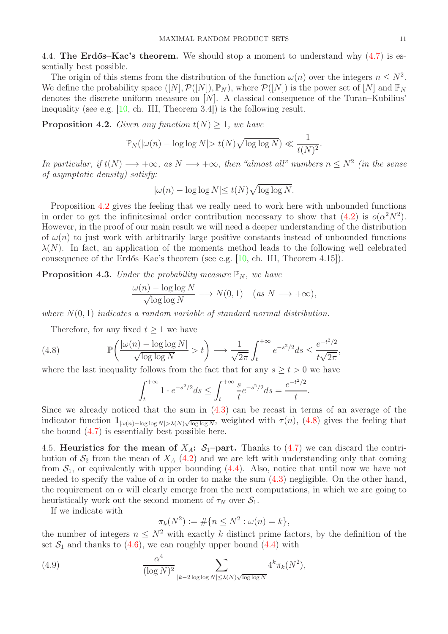4.4. The Erdős–Kac's theorem. We should stop a moment to understand why  $(4.7)$  is essentially best possible.

The origin of this stems from the distribution of the function  $\omega(n)$  over the integers  $n \leq N^2$ . We define the probability space  $([N], \mathcal{P}([N]), \mathbb{P}_N)$ , where  $\mathcal{P}([N])$  is the power set of  $[N]$  and  $\mathbb{P}_N$ denotes the discrete uniform measure on  $[N]$ . A classical consequence of the Turan–Kubilius' inequality (see e.g. [\[10,](#page-19-4) ch. III, Theorem 3.4]) is the following result.

<span id="page-10-0"></span>**Proposition 4.2.** Given any function  $t(N) \geq 1$ , we have

$$
\mathbb{P}_N(|\omega(n) - \log \log N| > t(N) \sqrt{\log \log N}) \ll \frac{1}{t(N)^2}.
$$

In particular, if  $t(N) \longrightarrow +\infty$ , as  $N \longrightarrow +\infty$ , then "almost all" numbers  $n \leq N^2$  (in the sense of asymptotic density) satisfy:

$$
|\omega(n) - \log \log N| \le t(N) \sqrt{\log \log N}.
$$

Proposition [4.2](#page-10-0) gives the feeling that we really need to work here with unbounded functions in order to get the infinitesimal order contribution necessary to show that  $(4.2)$  is  $o(\alpha^2 N^2)$ . However, in the proof of our main result we will need a deeper understanding of the distribution of  $\omega(n)$  to just work with arbitrarily large positive constants instead of unbounded functions  $\lambda(N)$ . In fact, an application of the moments method leads to the following well celebrated consequence of the Erdős–Kac's theorem (see e.g. [\[10,](#page-19-4) ch. III, Theorem 4.15]).

<span id="page-10-3"></span>**Proposition 4.3.** Under the probability measure  $\mathbb{P}_N$ , we have

$$
\frac{\omega(n) - \log \log N}{\sqrt{\log \log N}} \longrightarrow N(0, 1) \quad (as N \longrightarrow +\infty),
$$

where  $N(0, 1)$  indicates a random variable of standard normal distribution.

Therefore, for any fixed  $t \geq 1$  we have

(4.8) 
$$
\mathbb{P}\left(\frac{|\omega(n) - \log \log N|}{\sqrt{\log \log N}} > t\right) \longrightarrow \frac{1}{\sqrt{2\pi}} \int_{t}^{+\infty} e^{-s^{2}/2} ds \leq \frac{e^{-t^{2}/2}}{t\sqrt{2\pi}},
$$

where the last inequality follows from the fact that for any  $s \ge t > 0$  we have

<span id="page-10-1"></span>
$$
\int_{t}^{+\infty} 1 \cdot e^{-s^2/2} ds \le \int_{t}^{+\infty} \frac{s}{t} e^{-s^2/2} ds = \frac{e^{-t^2/2}}{t}.
$$

Since we already noticed that the sum in [\(4.3\)](#page-7-1) can be recast in terms of an average of the indicator function  $\mathbf{1}_{|\omega(n)-\log\log N|>\lambda(N)\sqrt{\log\log N}}$ , weighted with  $\tau(n)$ , [\(4.8\)](#page-10-1) gives the feeling that the bound  $(4.7)$  is essentially best possible here.

4.5. Heuristics for the mean of  $X_A$ :  $S_1$ -part. Thanks to [\(4.7\)](#page-9-0) we can discard the contribution of  $S_2$  from the mean of  $X_A$  [\(4.2\)](#page-7-0) and we are left with understanding only that coming from  $S_1$ , or equivalently with upper bounding [\(4.4\)](#page-7-2). Also, notice that until now we have not needed to specify the value of  $\alpha$  in order to make the sum [\(4.3\)](#page-7-1) negligible. On the other hand, the requirement on  $\alpha$  will clearly emerge from the next computations, in which we are going to heuristically work out the second moment of  $\tau_N$  over  $\mathcal{S}_1$ .

If we indicate with

<span id="page-10-2"></span>
$$
\pi_k(N^2) := \#\{n \le N^2 : \omega(n) = k\},\
$$

the number of integers  $n \leq N^2$  with exactly k distinct prime factors, by the definition of the set  $S_1$  and thanks to [\(4.6\)](#page-8-1), we can roughly upper bound [\(4.4\)](#page-7-2) with

(4.9) 
$$
\frac{\alpha^4}{(\log N)^2} \sum_{|k-2\log\log N| \le \lambda(N)\sqrt{\log\log N}} 4^k \pi_k(N^2),
$$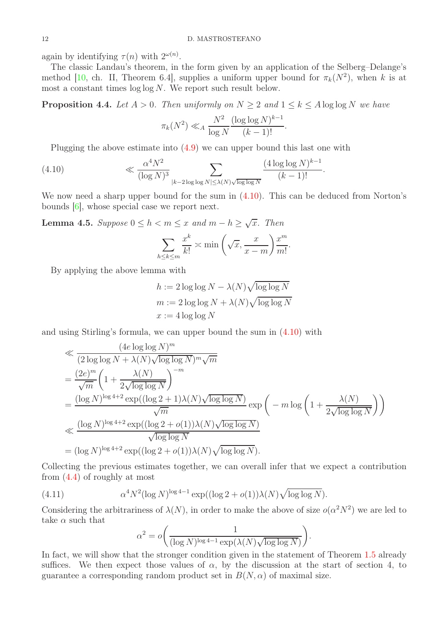again by identifying  $\tau(n)$  with  $2^{\omega(n)}$ .

The classic Landau's theorem, in the form given by an application of the Selberg–Delange's method [\[10,](#page-19-4) ch. II, Theorem 6.4], supplies a uniform upper bound for  $\pi_k(N^2)$ , when k is at most a constant times  $\log \log N$ . We report such result below.

**Proposition 4.4.** Let  $A > 0$ . Then uniformly on  $N \ge 2$  and  $1 \le k \le A \log \log N$  we have

<span id="page-11-0"></span>
$$
\pi_k(N^2) \ll_A \frac{N^2}{\log N} \frac{(\log \log N)^{k-1}}{(k-1)!}.
$$

Plugging the above estimate into  $(4.9)$  we can upper bound this last one with

(4.10) 
$$
\ll \frac{\alpha^4 N^2}{(\log N)^3} \sum_{|k-2\log\log N| \le \lambda(N)\sqrt{\log\log N}} \frac{(4\log\log N)^{k-1}}{(k-1)!}.
$$

We now need a sharp upper bound for the sum in  $(4.10)$ . This can be deduced from Norton's bounds [\[6\]](#page-19-9), whose special case we report next.

**Lemma 4.5.** Suppose  $0 \le h < m \le x$  and  $m - h \ge \sqrt{x}$ . Then

$$
\sum_{h \le k \le m} \frac{x^k}{k!} \asymp \min\left(\sqrt{x}, \frac{x}{x-m}\right) \frac{x^m}{m!}.
$$

By applying the above lemma with

$$
h := 2 \log \log N - \lambda(N) \sqrt{\log \log N}
$$
  

$$
m := 2 \log \log N + \lambda(N) \sqrt{\log \log N}
$$
  

$$
x := 4 \log \log N
$$

and using Stirling's formula, we can upper bound the sum in [\(4.10\)](#page-11-0) with

$$
\ll \frac{(4e \log \log N)^m}{(2 \log \log N + \lambda(N)\sqrt{\log \log N})^m \sqrt{m}}
$$
\n
$$
= \frac{(2e)^m}{\sqrt{m}} \left(1 + \frac{\lambda(N)}{2\sqrt{\log \log N}}\right)^{-m}
$$
\n
$$
= \frac{(\log N)^{\log 4 + 2} \exp((\log 2 + 1)\lambda(N)\sqrt{\log \log N})}{\sqrt{m}} \exp\left(-m \log \left(1 + \frac{\lambda(N)}{2\sqrt{\log \log N}}\right)\right)
$$
\n
$$
\ll \frac{(\log N)^{\log 4 + 2} \exp((\log 2 + o(1))\lambda(N)\sqrt{\log \log N})}{\sqrt{\log \log N}}
$$
\n
$$
= (\log N)^{\log 4 + 2} \exp((\log 2 + o(1))\lambda(N)\sqrt{\log \log N}).
$$

Collecting the previous estimates together, we can overall infer that we expect a contribution from [\(4.4\)](#page-7-2) of roughly at most

(4.11) 
$$
\alpha^4 N^2 (\log N)^{\log 4 - 1} \exp((\log 2 + o(1))\lambda(N)\sqrt{\log \log N}).
$$

Considering the arbitrariness of  $\lambda(N)$ , in order to make the above of size  $o(\alpha^2 N^2)$  we are led to take  $\alpha$  such that

<span id="page-11-1"></span>
$$
\alpha^2 = o\bigg(\frac{1}{(\log N)^{\log 4 - 1} \exp(\lambda(N) \sqrt{\log \log N})}\bigg).
$$

In fact, we will show that the stronger condition given in the statement of Theorem [1.5](#page-3-1) already suffices. We then expect those values of  $\alpha$ , by the discussion at the start of section 4, to guarantee a corresponding random product set in  $B(N, \alpha)$  of maximal size.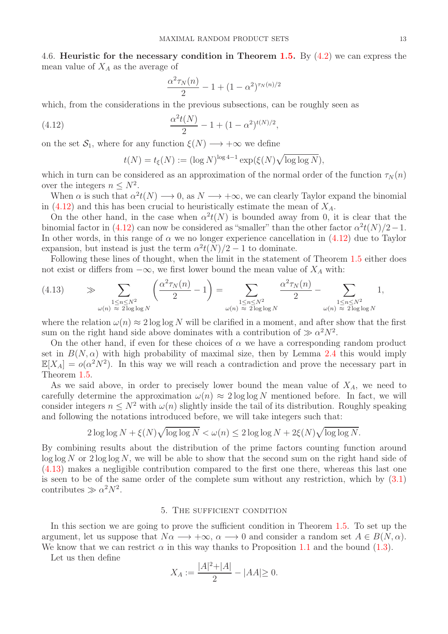4.6. Heuristic for the necessary condition in Theorem [1.5.](#page-3-1) By  $(4.2)$  we can express the mean value of  $X_A$  as the average of

<span id="page-12-0"></span>
$$
\frac{\alpha^2 \tau_N(n)}{2} - 1 + (1 - \alpha^2)^{\tau_N(n)/2}
$$

which, from the considerations in the previous subsections, can be roughly seen as

(4.12) 
$$
\frac{\alpha^2 t(N)}{2} - 1 + (1 - \alpha^2)^{t(N)/2},
$$

on the set  $S_1$ , where for any function  $\xi(N) \longrightarrow +\infty$  we define

$$
t(N) = t_{\xi}(N) := (\log N)^{\log 4 - 1} \exp(\xi(N) \sqrt{\log \log N}),
$$

which in turn can be considered as an approximation of the normal order of the function  $\tau_N(n)$ over the integers  $n \leq N^2$ .

When  $\alpha$  is such that  $\alpha^2 t(N) \longrightarrow 0$ , as  $N \longrightarrow +\infty$ , we can clearly Taylor expand the binomial in  $(4.12)$  and this has been crucial to heuristically estimate the mean of  $X_A$ .

On the other hand, in the case when  $\alpha^2 t(N)$  is bounded away from 0, it is clear that the binomial factor in [\(4.12\)](#page-12-0) can now be considered as "smaller" than the other factor  $\alpha^2 t(N)/2 - 1$ . In other words, in this range of  $\alpha$  we no longer experience cancellation in [\(4.12\)](#page-12-0) due to Taylor expansion, but instead is just the term  $\alpha^2 t(N)/2 - 1$  to dominate.

Following these lines of thought, when the limit in the statement of Theorem [1.5](#page-3-1) either does not exist or differs from  $-\infty$ , we first lower bound the mean value of  $X_A$  with:

<span id="page-12-1"></span>
$$
(4.13) \qquad \gg \sum_{\substack{1 \le n \le N^2 \\ \omega(n) \approx 2 \log \log N}} \left( \frac{\alpha^2 \tau_N(n)}{2} - 1 \right) = \sum_{\substack{1 \le n \le N^2 \\ \omega(n) \approx 2 \log \log N}} \frac{\alpha^2 \tau_N(n)}{2} - \sum_{\substack{1 \le n \le N^2 \\ \omega(n) \approx 2 \log \log N}} 1,
$$

where the relation  $\omega(n) \approx 2 \log \log N$  will be clarified in a moment, and after show that the first sum on the right hand side above dominates with a contribution of  $\gg \alpha^2 N^2$ .

On the other hand, if even for these choices of  $\alpha$  we have a corresponding random product set in  $B(N, \alpha)$  with high probability of maximal size, then by Lemma [2.4](#page-4-0) this would imply  $\mathbb{E}[X_A] = o(\alpha^2 N^2)$ . In this way we will reach a contradiction and prove the necessary part in Theorem [1.5.](#page-3-1)

As we said above, in order to precisely lower bound the mean value of  $X_A$ , we need to carefully determine the approximation  $\omega(n) \approx 2 \log \log N$  mentioned before. In fact, we will consider integers  $n \leq N^2$  with  $\omega(n)$  slightly inside the tail of its distribution. Roughly speaking and following the notations introduced before, we will take integers such that:

$$
2\log\log N + \xi(N)\sqrt{\log\log N} < \omega(n) \leq 2\log\log N + 2\xi(N)\sqrt{\log\log N}.
$$

By combining results about the distribution of the prime factors counting function around  $\log \log N$  or  $2 \log \log N$ , we will be able to show that the second sum on the right hand side of [\(4.13\)](#page-12-1) makes a negligible contribution compared to the first one there, whereas this last one is seen to be of the same order of the complete sum without any restriction, which by [\(3.1\)](#page-5-0) contributes  $\gg \alpha^2 N^2$ .

### 5. The sufficient condition

In this section we are going to prove the sufficient condition in Theorem [1.5.](#page-3-1) To set up the argument, let us suppose that  $N\alpha \longrightarrow +\infty$ ,  $\alpha \longrightarrow 0$  and consider a random set  $A \in B(N, \alpha)$ . We know that we can restrict  $\alpha$  in this way thanks to Proposition [1.1](#page-1-0) and the bound [\(1.3\)](#page-2-1).

Let us then define

$$
X_A := \frac{|A|^2 + |A|}{2} - |AA| \ge 0.
$$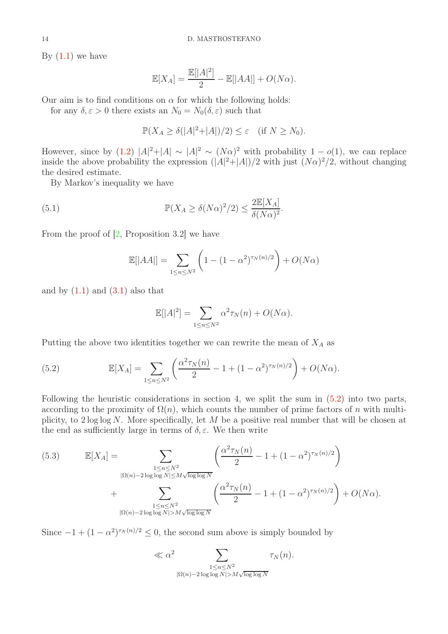By  $(1.1)$  we have

$$
\mathbb{E}[X_A]=\frac{\mathbb{E}[|A|^2]}{2}-\mathbb{E}[|AA|]+O(N\alpha).
$$

Our aim is to find conditions on  $\alpha$  for which the following holds:

for any  $\delta, \varepsilon > 0$  there exists an  $N_0 = N_0(\delta, \varepsilon)$  such that

$$
\mathbb{P}(X_A \ge \delta(|A|^2 + |A|)/2) \le \varepsilon \quad \text{(if } N \ge N_0).
$$

However, since by  $(1.2)$   $|A|^2 + |A| \sim |A|^2 \sim (N\alpha)^2$  with probability  $1 - o(1)$ , we can replace inside the above probability the expression  $(|A|^2+|A|)/2$  with just  $(N\alpha)^2/2$ , without changing the desired estimate.

By Markov's inequality we have

(5.1) 
$$
\mathbb{P}(X_A \ge \delta(N\alpha)^2/2) \le \frac{2\mathbb{E}[X_A]}{\delta(N\alpha)^2}.
$$

From the proof of  $[2,$  Proposition 3.2 we have

<span id="page-13-2"></span>
$$
\mathbb{E}[|AA|] = \sum_{1 \le n \le N^2} \left(1 - (1 - \alpha^2)^{\tau_N(n)/2}\right) + O(N\alpha)
$$

and by  $(1.1)$  and  $(3.1)$  also that

$$
\mathbb{E}[|A|^2] = \sum_{1 \le n \le N^2} \alpha^2 \tau_N(n) + O(N\alpha).
$$

Putting the above two identities together we can rewrite the mean of  $X_A$  as

<span id="page-13-0"></span>(5.2) 
$$
\mathbb{E}[X_A] = \sum_{1 \le n \le N^2} \left( \frac{\alpha^2 \tau_N(n)}{2} - 1 + (1 - \alpha^2)^{\tau_N(n)/2} \right) + O(N\alpha).
$$

Following the heuristic considerations in section 4, we split the sum in [\(5.2\)](#page-13-0) into two parts, according to the proximity of  $\Omega(n)$ , which counts the number of prime factors of n with multiplicity, to  $2 \log \log N$ . More specifically, let M be a positive real number that will be chosen at the end as sufficiently large in terms of  $\delta, \varepsilon$ . We then write

<span id="page-13-1"></span>(5.3) 
$$
\mathbb{E}[X_A] = \sum_{\substack{1 \le n \le N^2 \\ |\Omega(n) - 2\log\log N| \le M\sqrt{\log\log N} \\ |\Omega(n) - 2\log\log N| > M\sqrt{\log\log N} }} \left(\frac{\alpha^2 \tau_N(n)}{2} - 1 + (1 - \alpha^2)^{\tau_N(n)/2}\right) + O(N\alpha).
$$

Since  $-1 + (1 - \alpha^2)^{\tau_N(n)/2} \leq 0$ , the second sum above is simply bounded by

$$
\ll \alpha^2 \sum_{\substack{1 \le n \le N^2 \\ |\Omega(n)-2\log\log N| > M\sqrt{\log\log N}}} \tau_N(n).
$$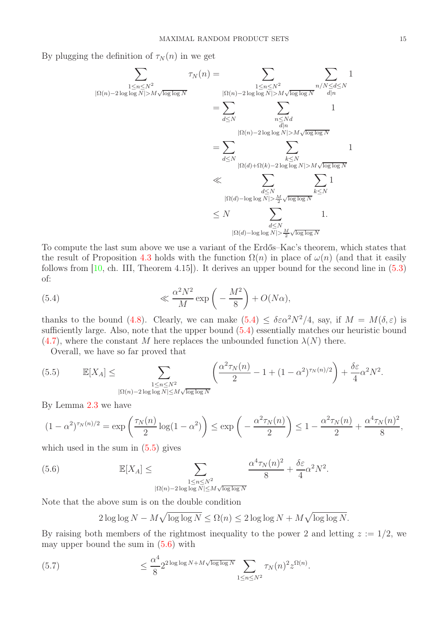By plugging the definition of  $\tau_N(n)$  in we get

$$
\sum_{\substack{1 \le n \le N^2 \\ |\Omega(n)-2\log\log N| > M\sqrt{\log\log N}}} \tau_N(n) = \sum_{\substack{1 \le n \le N^2 \\ |\Omega(n)-2\log\log N| > M\sqrt{\log\log N}}} \sum_{\substack{n \le Nd \\ n \le N \\ |\Omega(n)-2\log\log N| > M\sqrt{\log\log N}}} 1
$$
\n
$$
= \sum_{d \le N} \sum_{\substack{n \le Nd \\ |\Omega(d)+\Omega(k)-2\log\log N| > M\sqrt{\log\log N} \\ k \le N}} 1
$$
\n
$$
\ll \sum_{\substack{d \le N \\ |\Omega(d)-\log\log N| > \frac{M}{2}\sqrt{\log\log N} \\ k \le N}} 1
$$
\n
$$
\le N \sum_{\substack{d \le N \\ \log N \\ |\Omega(d)-\log\log N| > \frac{M}{2}\sqrt{\log\log N} \\ k \le N}} 1.
$$

To compute the last sum above we use a variant of the Erdős–Kac's theorem, which states that the result of Proposition [4.3](#page-10-3) holds with the function  $\Omega(n)$  in place of  $\omega(n)$  (and that it easily follows from [\[10,](#page-19-4) ch. III, Theorem 4.15]). It derives an upper bound for the second line in [\(5.3\)](#page-13-1) of:

<span id="page-14-0"></span>(5.4) 
$$
\ll \frac{\alpha^2 N^2}{M} \exp\left(-\frac{M^2}{8}\right) + O(N\alpha),
$$

thanks to the bound [\(4.8\)](#page-10-1). Clearly, we can make  $(5.4) \leq \delta \epsilon \alpha^2 N^2/4$ , say, if  $M = M(\delta, \epsilon)$  is sufficiently large. Also, note that the upper bound [\(5.4\)](#page-14-0) essentially matches our heuristic bound [\(4.7\)](#page-9-0), where the constant M here replaces the unbounded function  $\lambda(N)$  there.

<span id="page-14-1"></span>Overall, we have so far proved that

(5.5) 
$$
\mathbb{E}[X_A] \leq \sum_{\substack{1 \leq n \leq N^2 \\ |\Omega(n) - 2\log\log N| \leq M\sqrt{\log\log N}}} \left(\frac{\alpha^2 \tau_N(n)}{2} - 1 + (1 - \alpha^2)^{\tau_N(n)/2}\right) + \frac{\delta \varepsilon}{4} \alpha^2 N^2.
$$

By Lemma [2.3](#page-4-1) we have

$$
(1-\alpha^2)^{\tau_N(n)/2} = \exp\left(\frac{\tau_N(n)}{2}\log(1-\alpha^2)\right) \le \exp\left(-\frac{\alpha^2\tau_N(n)}{2}\right) \le 1 - \frac{\alpha^2\tau_N(n)}{2} + \frac{\alpha^4\tau_N(n)^2}{8},
$$

.

which used in the sum in  $(5.5)$  gives

(5.6) 
$$
\mathbb{E}[X_A] \leq \sum_{\substack{1 \leq n \leq N^2 \\ |\Omega(n) - 2\log\log N| \leq M\sqrt{\log\log N}}} \frac{\alpha^4 \tau_N(n)^2}{8} + \frac{\delta \varepsilon}{4} \alpha^2 N^2
$$

Note that the above sum is on the double condition

<span id="page-14-3"></span><span id="page-14-2"></span> $2 \log \log N - M \sqrt{\log \log N} \leq \Omega(n) \leq 2 \log \log N + M \sqrt{\log \log N}.$ 

By raising both members of the rightmost inequality to the power 2 and letting  $z := 1/2$ , we may upper bound the sum in  $(5.6)$  with

(5.7) 
$$
\leq \frac{\alpha^4}{8} 2^{2 \log \log N + M \sqrt{\log \log N}} \sum_{1 \leq n \leq N^2} \tau_N(n)^2 z^{\Omega(n)}.
$$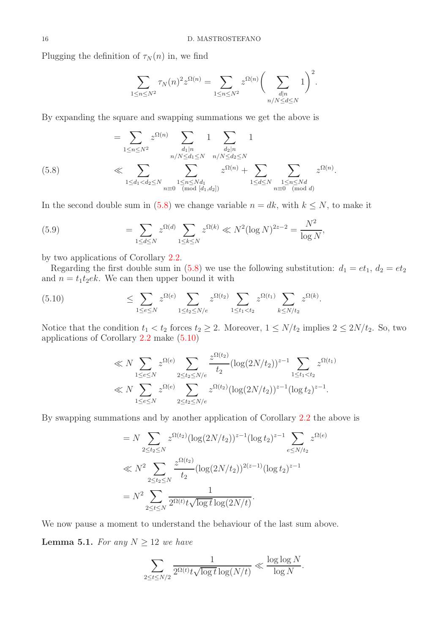Plugging the definition of  $\tau_N(n)$  in, we find

$$
\sum_{1 \leq n \leq N^2} \tau_N(n)^2 z^{\Omega(n)} = \sum_{1 \leq n \leq N^2} z^{\Omega(n)} \bigg( \sum_{\substack{d \mid n \\ n/N \leq d \leq N}} 1 \bigg)^2.
$$

By expanding the square and swapping summations we get the above is

<span id="page-15-0"></span>
$$
= \sum_{1 \le n \le N^2} z^{\Omega(n)} \sum_{\substack{d_1 | n \ d_2 | n}} 1 \sum_{\substack{d_2 | n \ d_2 | n}} 1
$$
  
\n
$$
\ll \sum_{1 \le d_1 < d_2 \le N} \sum_{\substack{n \ge n \le N d_1 \ n \equiv 0 \pmod{[d_1, d_2]}}} z^{\Omega(n)} + \sum_{1 \le d \le N} \sum_{\substack{1 \le n \le N d \ n \equiv 0 \pmod{d}}} z^{\Omega(n)}.
$$

In the second double sum in [\(5.8\)](#page-15-0) we change variable  $n = dk$ , with  $k \leq N$ , to make it

<span id="page-15-3"></span>(5.9) 
$$
= \sum_{1 \le d \le N} z^{\Omega(d)} \sum_{1 \le k \le N} z^{\Omega(k)} \ll N^2 (\log N)^{2z-2} = \frac{N^2}{\log N},
$$

by two applications of Corollary [2.2.](#page-3-4)

Regarding the first double sum in [\(5.8\)](#page-15-0) we use the following substitution:  $d_1 = et_1, d_2 = et_2$ and  $n = t_1 t_2 e k$ . We can then upper bound it with

<span id="page-15-1"></span>(5.10) 
$$
\leq \sum_{1 \leq e \leq N} z^{\Omega(e)} \sum_{1 \leq t_2 \leq N/e} z^{\Omega(t_2)} \sum_{1 \leq t_1 < t_2} z^{\Omega(t_1)} \sum_{k \leq N/t_2} z^{\Omega(k)}.
$$

Notice that the condition  $t_1 < t_2$  forces  $t_2 \geq 2$ . Moreover,  $1 \leq N/t_2$  implies  $2 \leq 2N/t_2$ . So, two applications of Corollary [2.2](#page-3-4) make [\(5.10\)](#page-15-1)

$$
\ll N \sum_{1 \leq e \leq N} z^{\Omega(e)} \sum_{2 \leq t_2 \leq N/e} \frac{z^{\Omega(t_2)}}{t_2} (\log(2N/t_2))^{z-1} \sum_{1 \leq t_1 < t_2} z^{\Omega(t_1)} \ll N \sum_{1 \leq e \leq N} z^{\Omega(e)} \sum_{2 \leq t_2 \leq N/e} z^{\Omega(t_2)} (\log(2N/t_2))^{z-1} (\log t_2)^{z-1}.
$$

By swapping summations and by another application of Corollary [2.2](#page-3-4) the above is

$$
= N \sum_{2 \le t_2 \le N} z^{\Omega(t_2)} (\log(2N/t_2))^{z-1} (\log t_2)^{z-1} \sum_{e \le N/t_2} z^{\Omega(e)}
$$
  

$$
\ll N^2 \sum_{2 \le t_2 \le N} \frac{z^{\Omega(t_2)}}{t_2} (\log(2N/t_2))^{2(z-1)} (\log t_2)^{z-1}
$$
  

$$
= N^2 \sum_{2 \le t \le N} \frac{1}{2^{\Omega(t)} t \sqrt{\log t} \log(2N/t)}.
$$

We now pause a moment to understand the behaviour of the last sum above.

<span id="page-15-2"></span>**Lemma 5.1.** For any  $N \geq 12$  we have

$$
\sum_{2 \le t \le N/2} \frac{1}{2^{\Omega(t)} t \sqrt{\log t} \log(N/t)} \ll \frac{\log \log N}{\log N}.
$$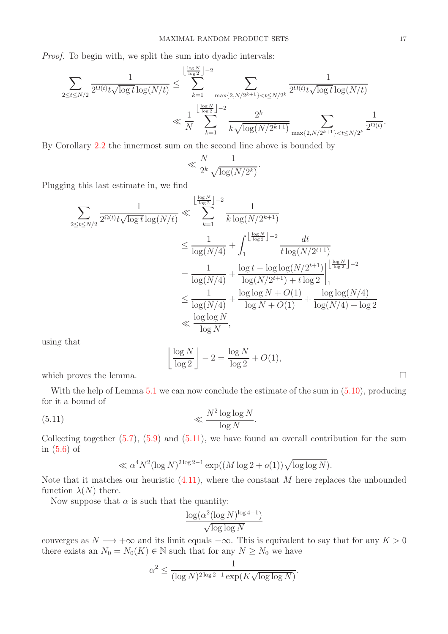Proof. To begin with, we split the sum into dyadic intervals:

$$
\sum_{2 \leq t \leq N/2} \frac{1}{2^{\Omega(t)} t \sqrt{\log t} \log(N/t)} \leq \sum_{k=1}^{\left\lfloor \frac{\log N}{\log 2} \right\rfloor - 2} \sum_{\substack{\max\{2, N/2^{k+1}\} < t \leq N/2^k}} \frac{1}{2^{\Omega(t)} t \sqrt{\log t} \log(N/t)} \ll \frac{1}{N} \sum_{k=1}^{\left\lfloor \frac{\log N}{\log 2} \right\rfloor - 2} \frac{2^k}{k \sqrt{\log(N/2^{k+1})}} \sum_{\substack{\max\{2, N/2^{k+1}\} < t \leq N/2^k}} \frac{1}{2^{\Omega(t)}}.
$$

By Corollary [2.2](#page-3-4) the innermost sum on the second line above is bounded by

$$
\ll \frac{N}{2^k} \frac{1}{\sqrt{\log(N/2^k)}}.
$$

Plugging this last estimate in, we find

$$
\sum_{2 \le t \le N/2} \frac{1}{2^{\Omega(t)} t \sqrt{\log t} \log(N/t)} \ll \sum_{k=1}^{\left\lfloor \frac{\log N}{\log 2} \right\rfloor - 2} \frac{1}{k \log(N/2^{k+1})}
$$
\n
$$
\le \frac{1}{\log(N/4)} + \int_{1}^{\left\lfloor \frac{\log N}{\log 2} \right\rfloor - 2} \frac{dt}{t \log(N/2^{t+1})}
$$
\n
$$
= \frac{1}{\log(N/4)} + \frac{\log t - \log \log(N/2^{t+1})}{\log(N/2^{t+1}) + t \log 2} \Big|_{1}^{\left\lfloor \frac{\log N}{\log 2} \right\rfloor - 2}
$$
\n
$$
\le \frac{1}{\log(N/4)} + \frac{\log \log N + O(1)}{\log N + O(1)} + \frac{\log \log(N/4)}{\log(N/4) + \log 2}
$$
\n
$$
\ll \frac{\log \log N}{\log N},
$$

using that

$$
\left\lfloor \frac{\log N}{\log 2} \right\rfloor - 2 = \frac{\log N}{\log 2} + O(1),
$$

<span id="page-16-0"></span>.

which proves the lemma.  $\Box$ 

With the help of Lemma [5.1](#page-15-2) we can now conclude the estimate of the sum in  $(5.10)$ , producing for it a bound of

(5.11) 
$$
\ll \frac{N^2 \log \log N}{\log N}
$$

Collecting together  $(5.7)$ ,  $(5.9)$  and  $(5.11)$ , we have found an overall contribution for the sum in [\(5.6\)](#page-14-2) of

$$
\ll \alpha^4 N^2 (\log N)^{2 \log 2 - 1} \exp((M \log 2 + o(1)) \sqrt{\log \log N}).
$$

Note that it matches our heuristic  $(4.11)$ , where the constant M here replaces the unbounded function  $\lambda(N)$  there.

Now suppose that  $\alpha$  is such that the quantity:

$$
\frac{\log(\alpha^2 (\log N)^{\log 4 - 1})}{\sqrt{\log \log N}}
$$

converges as  $N \longrightarrow +\infty$  and its limit equals  $-\infty$ . This is equivalent to say that for any  $K > 0$ there exists an  $N_0 = N_0(K) \in \mathbb{N}$  such that for any  $N \geq N_0$  we have

$$
\alpha^2 \le \frac{1}{(\log N)^{2\log 2 - 1} \exp(K\sqrt{\log \log N})}.
$$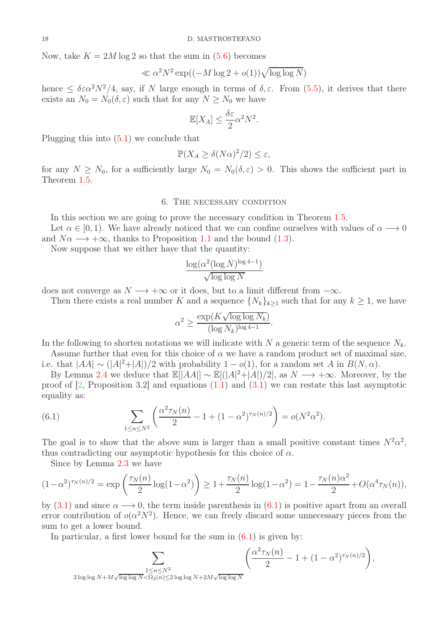Now, take  $K = 2M \log 2$  so that the sum in  $(5.6)$  becomes

$$
\ll \alpha^2 N^2 \exp((-M \log 2 + o(1)) \sqrt{\log \log N})
$$

hence  $\leq \delta \varepsilon \alpha^2 N^2/4$ , say, if N large enough in terms of  $\delta, \varepsilon$ . From [\(5.5\)](#page-14-1), it derives that there exists an  $N_0 = N_0(\delta, \varepsilon)$  such that for any  $N \geq N_0$  we have

$$
\mathbb{E}[X_A] \le \frac{\delta \varepsilon}{2} \alpha^2 N^2.
$$

Plugging this into [\(5.1\)](#page-13-2) we conclude that

$$
\mathbb{P}(X_A \ge \delta(N\alpha)^2/2) \le \varepsilon,
$$

for any  $N \geq N_0$ , for a sufficiently large  $N_0 = N_0(\delta, \varepsilon) > 0$ . This shows the sufficient part in Theorem [1.5.](#page-3-1)

## 6. The necessary condition

In this section we are going to prove the necessary condition in Theorem [1.5.](#page-3-1)

Let  $\alpha \in [0,1)$ . We have already noticed that we can confine ourselves with values of  $\alpha \longrightarrow 0$ and  $N\alpha \longrightarrow +\infty$ , thanks to Proposition [1.1](#page-1-0) and the bound [\(1.3\)](#page-2-1).

Now suppose that we either have that the quantity:

$$
\frac{\log(\alpha^2 (\log N)^{\log 4-1})}{\sqrt{\log \log N}}
$$

does not converge as  $N \longrightarrow +\infty$  or it does, but to a limit different from  $-\infty$ .

Then there exists a real number K and a sequence  $\{N_k\}_{k>1}$  such that for any  $k \geq 1$ , we have

$$
\alpha^2 \ge \frac{\exp(K\sqrt{\log\log N_k})}{(\log N_k)^{\log 4 - 1}}.
$$

In the following to shorten notations we will indicate with N a generic term of the sequence  $N_k$ .

Assume further that even for this choice of  $\alpha$  we have a random product set of maximal size, i.e. that  $|AA| \sim (|A|^2 + |A|)/2$  with probability  $1 - o(1)$ , for a random set A in  $B(N, \alpha)$ .

By Lemma [2.4](#page-4-0) we deduce that  $\mathbb{E}[|AA|] \sim \mathbb{E}[(|A|^2 + |A|)/2]$ , as  $N \longrightarrow +\infty$ . Moreover, by the proof of  $[2,$  Proposition 3.2 and equations  $(1.1)$  and  $(3.1)$  we can restate this last asymptotic equality as:

<span id="page-17-0"></span>(6.1) 
$$
\sum_{1 \le n \le N^2} \left( \frac{\alpha^2 \tau_N(n)}{2} - 1 + (1 - \alpha^2)^{\tau_N(n)/2} \right) = o(N^2 \alpha^2).
$$

The goal is to show that the above sum is larger than a small positive constant times  $N^2\alpha^2$ , thus contradicting our asymptotic hypothesis for this choice of  $\alpha$ .

Since by Lemma [2.3](#page-4-1) we have

$$
(1 - \alpha^2)^{\tau_N(n)/2} = \exp\left(\frac{\tau_N(n)}{2}\log(1 - \alpha^2)\right) \ge 1 + \frac{\tau_N(n)}{2}\log(1 - \alpha^2) = 1 - \frac{\tau_N(n)\alpha^2}{2} + O(\alpha^4 \tau_N(n)),
$$

by [\(3.1\)](#page-5-0) and since  $\alpha \longrightarrow 0$ , the term inside parenthesis in [\(6.1\)](#page-17-0) is positive apart from an overall error contribution of  $o(\alpha^2 N^2)$ . Hence, we can freely discard some unnecessary pieces from the sum to get a lower bound.

In particular, a first lower bound for the sum in  $(6.1)$  is given by:

$$
\sum_{2\log\log N+M\sqrt{\log\log N}<\Omega_2(n)\leq 2\log\log N+2M\sqrt{\log\log N}}\left(\frac{\alpha^2\tau_N(n)}{2}-1+(1-\alpha^2)^{\tau_N(n)/2}\right)\!,
$$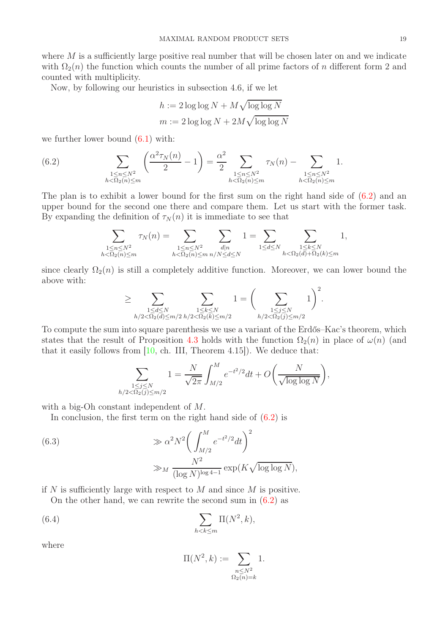where  $M$  is a sufficiently large positive real number that will be chosen later on and we indicate with  $\Omega_2(n)$  the function which counts the number of all prime factors of n different form 2 and counted with multiplicity.

Now, by following our heuristics in subsection 4.6, if we let

$$
h := 2\log\log N + M\sqrt{\log\log N}
$$
  

$$
m := 2\log\log N + 2M\sqrt{\log\log N}
$$

we further lower bound [\(6.1\)](#page-17-0) with:

<span id="page-18-0"></span>(6.2) 
$$
\sum_{\substack{1 \le n \le N^2 \\ h < \Omega_2(n) \le m}} \left( \frac{\alpha^2 \tau_N(n)}{2} - 1 \right) = \frac{\alpha^2}{2} \sum_{\substack{1 \le n \le N^2 \\ h < \Omega_2(n) \le m}} \tau_N(n) - \sum_{\substack{1 \le n \le N^2 \\ h < \Omega_2(n) \le m}} 1.
$$

The plan is to exhibit a lower bound for the first sum on the right hand side of [\(6.2\)](#page-18-0) and an upper bound for the second one there and compare them. Let us start with the former task. By expanding the definition of  $\tau_N(n)$  it is immediate to see that

$$
\sum_{\substack{1 \le n \le N^2 \\ h < \Omega_2(n) \le m}} \tau_N(n) = \sum_{\substack{1 \le n \le N^2 \\ h < \Omega_2(n) \le m}} \sum_{\substack{d|n \\ n/N \le d \le N}} 1 = \sum_{1 \le d \le N} \sum_{\substack{1 \le k \le N \\ h < \Omega_2(d) + \Omega_2(k) \le m}} 1,
$$

since clearly  $\Omega_2(n)$  is still a completely additive function. Moreover, we can lower bound the above with:  $\Omega$ 

$$
\geq \sum_{\substack{1 \leq d \leq N \\ h/2 < \Omega_2(\bar{d}) \leq m/2}} \sum_{\substack{1 \leq k \leq N \\ h/2 < \Omega_2(\bar{k}) \leq m/2}} 1 = \left( \sum_{\substack{1 \leq j \leq N \\ h/2 < \Omega_2(j) \leq m/2}} 1 \right)^2.
$$

To compute the sum into square parenthesis we use a variant of the Erdős–Kac's theorem, which states that the result of Proposition [4.3](#page-10-3) holds with the function  $\Omega_2(n)$  in place of  $\omega(n)$  (and that it easily follows from  $[10, ch. III, Theorem 4.15]$ . We deduce that:

$$
\sum_{\substack{1 \le j \le N \\ h/2 < \Omega_2(j) \le m/2}} 1 = \frac{N}{\sqrt{2\pi}} \int_{M/2}^M e^{-t^2/2} dt + O\left(\frac{N}{\sqrt{\log \log N}}\right),
$$

with a big-Oh constant independent of M.

In conclusion, the first term on the right hand side of [\(6.2\)](#page-18-0) is

<span id="page-18-2"></span>(6.3) 
$$
\gg \alpha^2 N^2 \left( \int_{M/2}^M e^{-t^2/2} dt \right)^2
$$

$$
\gg_M \frac{N^2}{(\log N)^{\log 4 - 1}} \exp(K \sqrt{\log \log N}),
$$

if N is sufficiently large with respect to M and since M is positive.

On the other hand, we can rewrite the second sum in [\(6.2\)](#page-18-0) as

(6.4) 
$$
\sum_{h < k \le m} \Pi(N^2, k),
$$

where

<span id="page-18-1"></span>
$$
\Pi(N^2, k) := \sum_{\substack{n \le N^2 \\ \Omega_2(n) = k}} 1.
$$